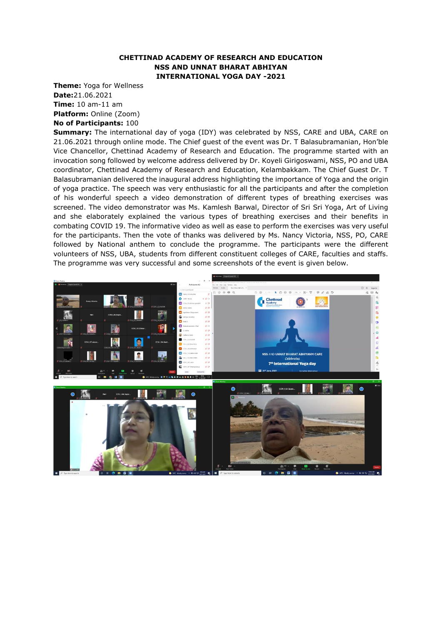## **CHETTINAD ACADEMY OF RESEARCH AND EDUCATION NSS AND UNNAT BHARAT ABHIYAN INTERNATIONAL YOGA DAY -2021**

**Theme:** Yoga for Wellness **Date:**21.06.2021 **Time:** 10 am-11 am **Platform:** Online (Zoom) **No of Participants:** 100

**Summary:** The international day of yoga (IDY) was celebrated by NSS, CARE and UBA, CARE on 21.06.2021 through online mode. The Chief guest of the event was Dr. T Balasubramanian, Hon'ble Vice Chancellor, Chettinad Academy of Research and Education. The programme started with an invocation song followed by welcome address delivered by Dr. Koyeli Girigoswami, NSS, PO and UBA coordinator, Chettinad Academy of Research and Education, Kelambakkam. The Chief Guest Dr. T Balasubramanian delivered the inaugural address highlighting the importance of Yoga and the origin of yoga practice. The speech was very enthusiastic for all the participants and after the completion of his wonderful speech a video demonstration of different types of breathing exercises was screened. The video demonstrator was Ms. Kamlesh Barwal, Director of Sri Sri Yoga, Art of Living and she elaborately explained the various types of breathing exercises and their benefits in combating COVID 19. The informative video as well as ease to perform the exercises was very useful for the participants. Then the vote of thanks was delivered by Ms. Nancy Victoria, NSS, PO, CARE followed by National anthem to conclude the programme. The participants were the different volunteers of NSS, UBA, students from different constituent colleges of CARE, faculties and staffs. The programme was very successful and some screenshots of the event is given below.